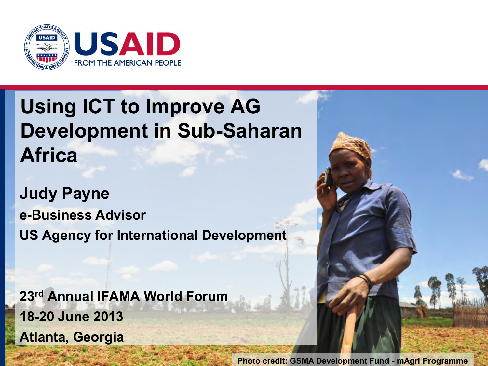

## **Using ICT to Improve AG Development in Sub-Saharan Africa**

**Judy Payne e-Business Advisor US Agency for International Development** 

**23rd Annual IFAMA World Forum 18-20 June 2013 Atlanta, Georgia** 

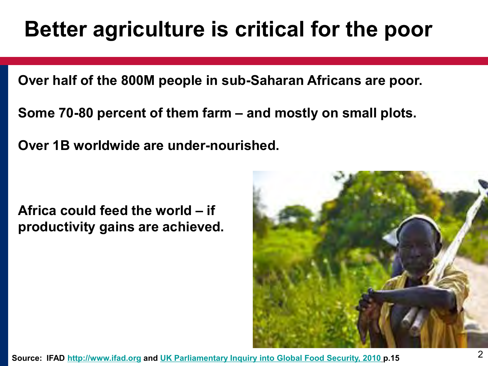# **Better agriculture is critical for the poor**

**Over half of the 800M people in sub-Saharan Africans are poor.** 

**Some 70-80 percent of them farm – and mostly on small plots.** 

**Over 1B worldwide are under-nourished.** 

**Africa could feed the world – if productivity gains are achieved.** 

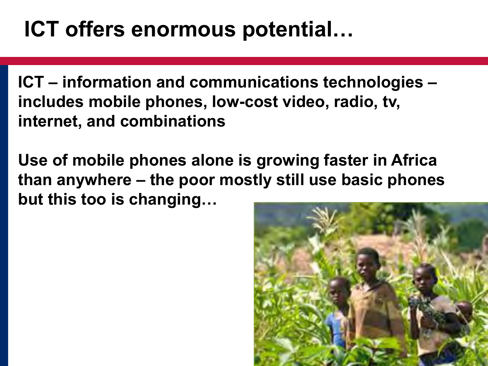# **ICT offers enormous potential…**

**ICT – information and communications technologies – includes mobile phones, low-cost video, radio, tv, internet, and combinations** 

**Use of mobile phones alone is growing faster in Africa than anywhere – the poor mostly still use basic phones but this too is changing…** 

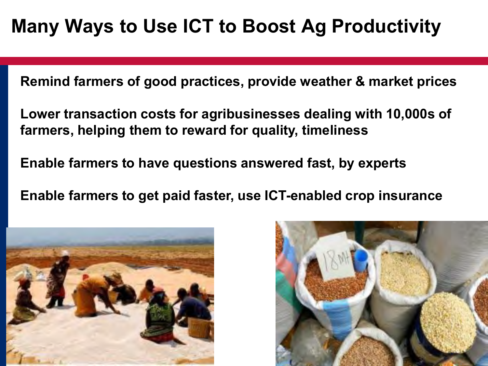## **Many Ways to Use ICT to Boost Ag Productivity**

**Remind farmers of good practices, provide weather & market prices** 

**Lower transaction costs for agribusinesses dealing with 10,000s of farmers, helping them to reward for quality, timeliness** 

**Enable farmers to have questions answered fast, by experts** 

**Enable farmers to get paid faster, use ICT-enabled crop insurance**